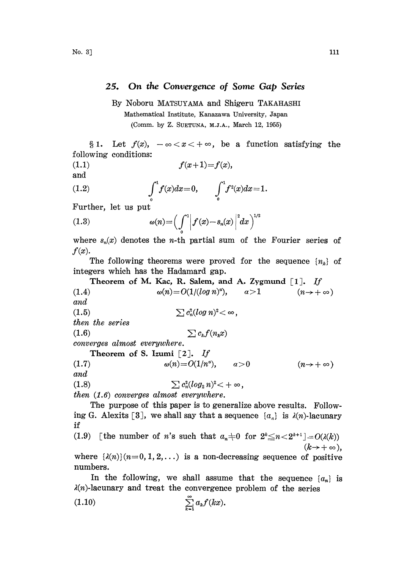## 25. On the Convergence of Some Gap Series

By Noboru MATSUYAMA and Shigeru TAKAHASHI

Mathematical Institute, Kanazawa University, Japan (Comm. by Z. SUETUNA, M.J.A., March 12, 1955)

§ 1. Let  $f(x)$ ,  $-\infty < x < +\infty$ , be a function satisfying the following conditions:

$$
(1.1) \t\t f(x+1)=f(x),
$$

and

(1.2) 
$$
\int_{0}^{1} f(x)dx = 0, \qquad \int_{0}^{1} f^{2}(x)dx = 1.
$$

Further, let us put

$$
(1.3) \t\t \t\t \omega(n) = \left(\int_0^1 \left|f(x)-s_n(x)\right|^2 dx\right)^{1/2}
$$

where  $s_n(x)$  denotes the *n*-th partial sum of the Fourier series of  $f(x)$ .

The following theorems were proved for the sequence  $\{n_k\}$  of integers which has the Hadamard gap.

Theorem of M. Kac, R. Salem, and A. Zygmund [1]. If  $\omega(n) = O(1/(log n)^{\alpha})$ ,  $\alpha > 1$   $(n \rightarrow +\infty)$ and (1.5)  $\sum c_n^2(log n)^2 < \infty$ , then the series  $(1.6)$   $\sum c_k f(n_k x)$ converges almost everywhere. Theorem of S. Izumi [2]. If<br>  $\omega(n) = O(1/n^d)$  $\omega(n)=O(1/n^a), \qquad \alpha>0 \qquad (n\to +\infty)$ and (1.8)  $\sum c_n^2 (log_2 n)^2 < +\infty$ , then (1.6) converges almost everywhere.

The purpose of this paper is to generalize above results. Following G. Alexits [3], we shall say that a sequence  $\{a_{\alpha}\}\$ is  $\lambda(n)$ -lacunary if

(1.9) [the number of *n*'s such that  $a_n \neq 0$  for  $2^k \leq n < 2^{k+1}$ ]=O( $\lambda(k)$ )<br>( $k \to +\infty$ ), where  $\{\lambda(n)\}(n=0,1,2,\ldots)$  is a non-decreasing sequence of positive numbers.

In the following, we shall assume that the sequence  ${a_n}$  is  $\lambda(n)$ -lacunary and treat the convergence problem of the series

$$
\sum_{k=1}^{\infty} a_k f(kx).
$$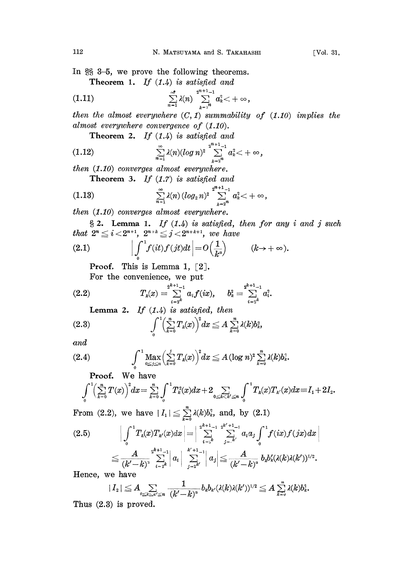In  $\S$   $3-5$ , we prove the following theorems.

Theorem 1. If  $(1.4)$  is satisfied and

(1.11) 
$$
\sum_{n=1}^{\infty} \lambda(n) \sum_{k=2^n}^{2^{n+1}-1} a_k^2 < +\infty,
$$

then the almost everywhere  $(C, 1)$  summability of  $(1.10)$  implies the almost everywhere convergence of  $(1.10)$ .

Theorem 2. If  $(1.4)$  is satisfied and

(1.12) 
$$
\sum_{n=1}^{\infty} \lambda(n) (\log n)^2 \sum_{k=2^n}^{2^{n+1}-1} a_k^2 < +\infty,
$$

then (1.10) converges almost everywhere.

Theorem 3. If  $(1.7)$  is satisfied and

(1.13) 
$$
\sum_{n=1}^{\infty} \lambda(n) (\log_2 n)^2 \sum_{k=2^n}^{2^{n+1}-1} a_k^2 < +\infty,
$$

then (1.10) converges almost everywhere.

 $\S 2.$  Lemma 1. If  $(1.4)$  is satisfied, then for any i and j such that  $2^n \leq i < 2^{n+1}$ ,  $2^{n+k} \leq j < 2^{n+k+1}$ , we have

(2.1) 
$$
\left| \int_0^1 f(it) f(jt) dt \right| = O\left(\frac{1}{k^a}\right) \qquad (k \to +\infty).
$$

**Proof.** This is Lemma 1,  $\lceil 2 \rceil$ .

For the convenience, we put

$$
(2.2) \t\t T_k(x) = \sum_{i=2^k} 2^{k+1} a_i f(ix), \t b_k^2 = \sum_{i=2^k} 2^{k+1} a_i^2.
$$

Lemma 2. If  $(1.4)$  is satisfied, then

$$
(2.3) \qquad \qquad \int_{0}^{1} \left(\sum_{k=0}^{n} T_k(x)\right)^2 dx \leq A \sum_{k=0}^{n} \lambda(k) b_k^3,
$$

and

$$
(2.4) \qquad \qquad \int\limits_{0}^{1} \max_{0 \leq j \leq n} \left( \sum\limits_{k=0}^{j} T_k(x) \right)^2 dx \leq A (\log n)^2 \sum\limits_{k=0}^{n} \lambda(k) b_k^2.
$$

**Proof.** We have  

$$
\int_{0}^{1} \left(\sum_{k=0}^{n} T(x)\right)^{2} dx = \sum_{k=0}^{n} \int_{0}^{1} T_{k}^{2}(x) dx + 2 \sum_{0 \le k < k' \le n} \int_{0}^{1} T_{k}(x) T_{k'}(x) dx = I_{1} + 2I_{2}.
$$

From (2.2), we have  $|I_1| \leq \sum_{k=0}^{n} \lambda(k) b_k^3$ , and, by (2.1)

$$
(2.5) \qquad \left| \int_{0}^{1} T_{k}(x) T_{k'}(x) dx \right| = \left| \sum_{i=k}^{2^{k+1}-1} \sum_{j=k'}^{2^{k+1}-1} a_{i} a_{j} \int_{0}^{1} f(ix) f(jx) dx \right|
$$
  

$$
\leq \frac{A}{(k'-k)^{2}} \sum_{i=2^{k}}^{2^{k+1}-1} |a_{i}| \sum_{j=2^{k'}}^{k'+1}-1 |a_{j}| \leq \frac{A}{(k'-k)^{2}} b_{k} b'_{k} (\lambda(k)\lambda(k'))^{1/2}.
$$
  
Hence, we have

Hence, we have

$$
|\,I_{\scriptscriptstyle 2}\,|\leqq A\hspace{-0.4cm}\sum_{\scriptscriptstyle 0\leq k\leq\kappa'\leq n}\frac{1}{(k'-k)^{^a}}b_kb_{k'}(\lambda(k)\lambda(k'))^{1/2}\leqq A\sum_{k=0}^n\lambda(k)b_k^3.
$$

Thus (2.8) is proved,.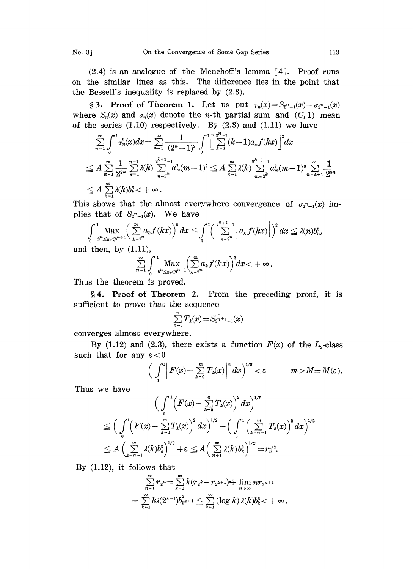$(2.4)$  is an analogue of the Menchoff's lemma  $[4]$ . Proof runs on the similar lines as this. The difference lies in the point that the Bessell's inequality is replaced by (2.3).

§ 3. Proof of Theorem 1. Let us put  $\tau_n(x) = S_{2^n-1}(x) - \sigma_2 n_{-1}(x)$ . where  $S_n(x)$  and  $\sigma_n(x)$  denote the *n*-th partial sum and  $(C, 1)$  mean of the series  $(1.10)$  respectively. By  $(2.3)$  and  $(1.11)$  we have

$$
\begin{aligned}&\sum_{n=1}^{\infty}\int^{1} \tau^{2}_{n}(x) dx=\sum_{n=1}^{\infty}\frac{1}{(2^{n}-1)^{2}}\int^{1}\Big[\sum_{k=1}^{2^{n}-1}(k-1)a_{k}f(kx)\Big]^{2}dx\\ &\leq A\sum_{n=1}^{\infty}\frac{1}{2^{2n}}\sum_{k=1}^{n-1}\lambda(k)\sum_{m=2^{k}}^{2^{k+1}-1}a_{m}^{2}(m-1)^{2}\leq A\sum_{k=1}^{\infty}\lambda(k)\sum_{m=2^{k}}^{2^{k+1}-1}a_{m}^{2}(m-1)^{2}\sum_{n=k+1}^{\infty}\frac{1}{2^{2n}}\\ &\leq A\sum_{k=1}^{\infty}\lambda(k)b_{k}^{2}<+\infty\,.\end{aligned}
$$

This shows that the almost everywhere convergence of  $\sigma_2^{n}$ -1(x) implies that of  $S_{2^{n}-1}(x)$ . We have

$$
\int\limits_{0}^{1}\max_{x^{n}\leqslant m<2^{n+1}}\Bigl(\sum\limits_{k=2^{n}}^{m}a_{k}f(kx)\Bigr)^{2}\,dx\leq \int\limits_{0}^{1}\Bigl(\sum\limits_{k=2^{n}}^{2^{n+1}-1}\Bigl|a_{k}f(kx)\Bigr|\Bigr)^{2}\,dx\leq \lambda(n)b_{n}^{2},
$$
d then, by (1.11),

and then, by (1.11),

$$
\sum_{n=1}^{\infty}\int_{0}^{1}\max_{z^{n}\leq m<2^{n+1}}\left(\sum_{k=2^{n}}^{m}a_{k}f(kx)\right)^{2}dx<+\infty.
$$

Thus the theorem is proved.

4. Proof of Theorem 2. From the preceding proof, it is .sufficient to prove that the sequence

$$
\sum_{k=0}^n T_k(x) = S_{2^{n+1}-1}(x)
$$

converges almost everywhere.

By (1.12) and (2.3), there exists a function  $F(x)$  of the  $L_2$ -class such that for any  $\varepsilon < 0$ 

$$
\Big(\int\limits_{0}^{1}\Big|\,F(x)-\sum\limits_{k=0}^{m}\,T_k(x)\Big|^2\,dx\Big)^{1/2}<\varepsilon\qquad\qquad m>M=M(\varepsilon).
$$

Thus we have

$$
\Big(\int\limits_0^1\Big(F(x)-\sum\limits_{k=0}^nT_k(x)\Big)^2\,dx\Big)^{1/2}\\ \leq \Big(\int\limits_0^1\Big(F(x)-\sum\limits_{k=0}^mT_k(x)\Big)^2\,dx\Big)^{1/2}+\Big(\int\limits_0^1\Big(\sum\limits_{k=n+1}^mT_k(x)\Big)^2\,dx\Big)^{1/2}\\ \leq A\,\Big(\sum\limits_{k=n+1}^m\lambda(k)b_k^2\Big)^{1/2}+\epsilon\leq A\Big(\sum\limits_{n+1}^m\lambda(k)b_k^2\Big)^{1/2}=r_n^{1/2}.
$$

By  $(1.12)$ , it follows that

$$
\sum_{n=1}^{\infty}r_2=\sum_{k=1}^{\infty}k(r_2\cdot k-r_2\cdot k+1)+\lim_{n\to\infty}nr_{2}n+1\\=\sum_{k=1}^{\infty}k\lambda(2^{k+1})b_2^2\cdot k+1\leq \sum_{k=1}^{\infty}\left(\log k\right)\lambda(k)b_k^2<+\infty.
$$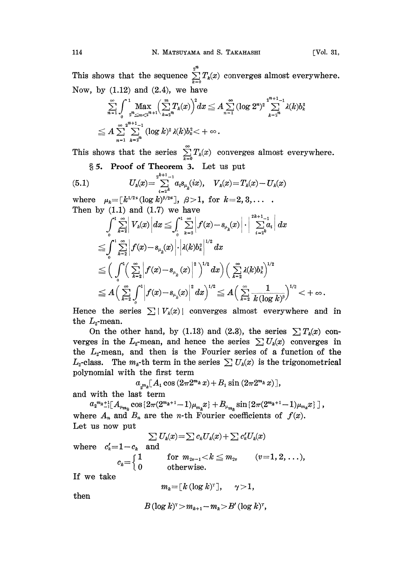This shows that the sequence  $\sum_{k=0}^{2^n} T_k(x)$  converges almost everywhere. Now, by  $(1.12)$  and  $(2.4)$ , we have

$$
\sum_{n=1}^{\infty} \int_{0}^{1} \max_{2^{n} \leq m < 2^{n+1}} \left( \sum_{k=2^{n}}^{m} T_k(x) \right)^2 dx \leq A \sum_{n=1}^{\infty} (\log 2^n)^2 \sum_{k=2^{n}}^{2^{n+1}-1} \lambda(k) b_k^2
$$
\n
$$
\leq A \sum_{n=1}^{\infty} \sum_{k=2^{n}}^{2^{n+1}-1} (\log k)^2 \lambda(k) b_k^2 < +\infty.
$$

This shows that the series  $\sum_{k=0}^{\infty} T_k(x)$  converges almost everywhere.

§ 5. Proof of Theorem 3. Let us put

(5.1) 
$$
U_{k}(x) = \sum_{i=2^{k}}^{2^{k+1}-1} a_{i} s_{\mu_{k}}(ix), \quad V_{k}(x) = T_{k}(x) - U_{k}(x)
$$

where  $\mu_k = [k^{1/2} \cdot (\log k)^{\beta/2} \cdot \cdot], \ \beta > 1, \text{ for } k = 2, 3, \ldots$ 

Then by (1.1) and (1.7) we have  
\n
$$
\int_{0}^{1} \sum_{k=2}^{\infty} \left| V_k(x) \left| dx \leq \int_{0}^{1} \sum_{k=2}^{\infty} \left| f(x) - s_{\mu_k}(x) \right| \right| \left| \sum_{i=2}^{2k+1} a_i \right| dx
$$
\n
$$
\leq \int_{0}^{1} \sum_{k=2}^{\infty} \left| f(x) - s_{\mu_k}(x) \right| \cdot \left| \lambda(k) b_k^2 \right|^{1/2} dx
$$
\n
$$
\leq \left( \int_{0}^{1} \left( \sum_{k=2}^{\infty} \left| f(x) - s_{\mu_k}(x) \right|^2 \right)^{1/2} dx \right) \left( \sum_{k=2}^{\infty} \lambda(k) b_k^2 \right)^{1/2}
$$
\n
$$
\leq A \left( \sum_{k=2}^{\infty} \int_{0}^{1} \left| f(x) - s_{\mu_k}(x) \right|^2 dx \right)^{1/2} \leq A \left( \sum_{k=2}^{\infty} \frac{1}{k (\log k)^8} \right)^{1/2} < +\infty.
$$
\nHence the series  $\sum |V_k(x)|$  converges almost everywhere and in

the  $L_z$ -mean.

On the other hand, by (1.13) and (2.3), the series  $\sum T_k(x)$  converges in the  $L_z$ -mean, and hence the series  $\sum U_k(x)$  converges in the  $L_2$ -mean, and then is the Fourier series of a function of the  $L_z$ -class. The  $m_z$ -th term in the series  $\sum U_k(x)$  is the trigonometrical polynomial with the first term<br>  $a_{m_k}[A_1 \cos{(2\pi 2^m k x)} + B_1 \sin{(2\pi 2^m k x)}],$ <br>
and with the last term

$$
a_{m_k}[A_1\cos\left(2\pi 2^{m_k}x\right)+B_1\sin\left(2\pi 2^{m_k}x\right)],
$$

and with the last term

 $a_2^{m_k+1} [A_{\mu_{m_k}} \cos{\{2\pi(2^{m_k+1}-1)\mu_{m_k}x\}} + B_{\mu_{m_k}} \sin{\{2\pi(2^{m_k+1}-1)\mu_{m_k}x\}}\}\,],$ where  $A_n$  and  $B_n$  are the *n*-th Fourier coefficients of  $f(x)$ . Let us now put

$$
\textstyle \sum\limits_{{\bf a} \, {\bf n}} U_k(x) \!=\! \sum c_k U_k(x) \!+\! \sum c'_k U_k(x)
$$

where  $c'_i=1-c_i$ 

$$
c_k = \begin{cases} 1 & \text{for } m_{2v-1} < k \leq m_{2v} \\ 0 & \text{otherwise.} \end{cases} \quad (v = 1, 2, \ldots),
$$

If we take

$$
m_k = [k (\log k)^{\tau}], \quad \gamma > 1,
$$

then

$$
B(\log k)^{\mathsf{T}} > m_{k+1} - m_k > B'(\log k)^{\mathsf{T}},
$$